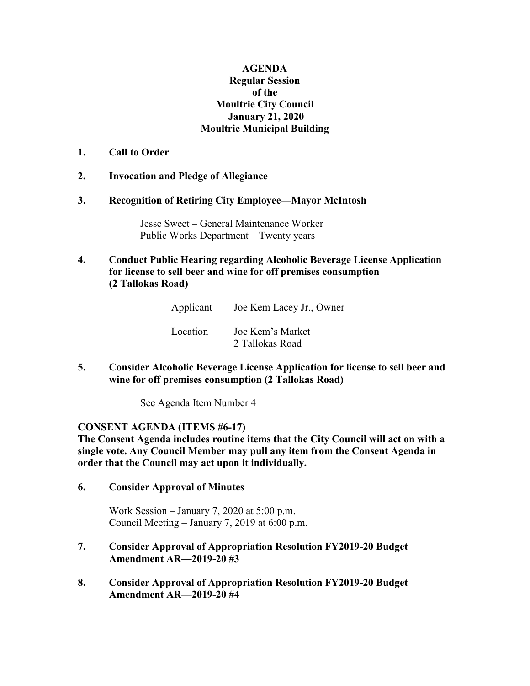## **AGENDA Regular Session of the Moultrie City Council January 21, 2020 Moultrie Municipal Building**

## **1. Call to Order**

## **2. Invocation and Pledge of Allegiance**

#### **3. Recognition of Retiring City Employee—Mayor McIntosh**

Jesse Sweet – General Maintenance Worker Public Works Department – Twenty years

# **4. Conduct Public Hearing regarding Alcoholic Beverage License Application for license to sell beer and wine for off premises consumption (2 Tallokas Road)**

| Applicant | Joe Kem Lacey Jr., Owner            |
|-----------|-------------------------------------|
| Location  | Joe Kem's Market<br>2 Tallokas Road |

**5. Consider Alcoholic Beverage License Application for license to sell beer and wine for off premises consumption (2 Tallokas Road)**

See Agenda Item Number 4

## **CONSENT AGENDA (ITEMS #6-17)**

**The Consent Agenda includes routine items that the City Council will act on with a single vote. Any Council Member may pull any item from the Consent Agenda in order that the Council may act upon it individually.**

**6. Consider Approval of Minutes**

Work Session – January 7, 2020 at 5:00 p.m. Council Meeting – January 7, 2019 at 6:00 p.m.

## **7. Consider Approval of Appropriation Resolution FY2019-20 Budget Amendment AR—2019-20 #3**

**8. Consider Approval of Appropriation Resolution FY2019-20 Budget Amendment AR—2019-20 #4**